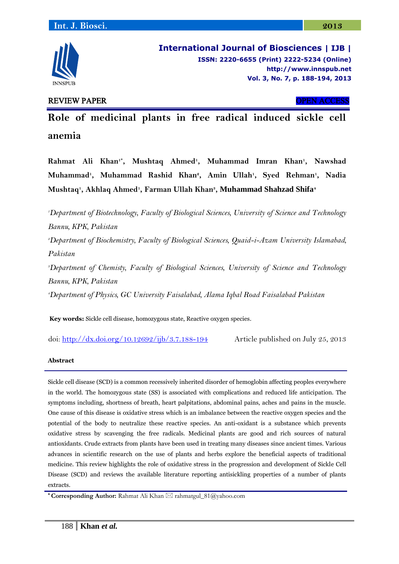

**International Journal of Biosciences | IJB | ISSN: 2220-6655 (Print) 2222-5234 (Online) [http://www.](http://www/)innspub.net Vol. 3, No. 7, p. 188-194, 2013**

# REVIEW PAPER OPEN ACCESS

**Role of medicinal plants in free radical induced sickle cell anemia**

**Rahmat Ali Khan1\* , Mushtaq Ahmed<sup>1</sup> , Muhammad Imran Khan<sup>1</sup> , Nawshad Muhammad<sup>1</sup> , Muhammad Rashid Khan<sup>2</sup> , Amin Ullah<sup>1</sup> , Syed Rehman<sup>1</sup> , Nadia Mushtaq<sup>1</sup> , Akhlaq Ahmed<sup>1</sup> , Farman Ullah Khan<sup>3</sup> , Muhammad Shahzad Shifa<sup>4</sup>**

*<sup>1</sup>Department of Biotechnology, Faculty of Biological Sciences, University of Science and Technology Bannu, KPK, Pakistan <sup>2</sup>Department of Biochemistry, Faculty of Biological Sciences, Quaid-i-Azam University Islamabad, Pakistan <sup>3</sup>Department of Chemisty, Faculty of Biological Sciences, University of Science and Technology Bannu, KPK, Pakistan <sup>4</sup>Department of Physics, GC University Faisalabad, Alama Iqbal Road Faisalabad Pakistan*

**Key words:** Sickle cell disease, homozygous state, Reactive oxygen species.

doi:<http://dx.doi.org/10.12692/ijb/3.7.188-194> Article published on July 25, 2013

### **Abstract**

Sickle cell disease (SCD) is a common recessively inherited disorder of hemoglobin affecting peoples everywhere in the world. The homozygous state (SS) is associated with complications and reduced life anticipation. The symptoms including, shortness of breath, heart palpitations, abdominal pains, aches and pains in the muscle. One cause of this disease is oxidative stress which is an imbalance between the reactive oxygen species and the potential of the body to neutralize these reactive species. An anti-oxidant is a substance which prevents oxidative stress by scavenging the free radicals. Medicinal plants are good and rich sources of natural antioxidants. Crude extracts from plants have been used in treating many diseases since ancient times. Various advances in scientific research on the use of plants and herbs explore the beneficial aspects of traditional medicine. This review highlights the role of oxidative stress in the progression and development of Sickle Cell Disease (SCD) and reviews the available literature reporting antisickling properties of a number of plants extracts.

**\* Corresponding Author:** Rahmat Ali Khan ⊠ rahmatgul\_81@yahoo.com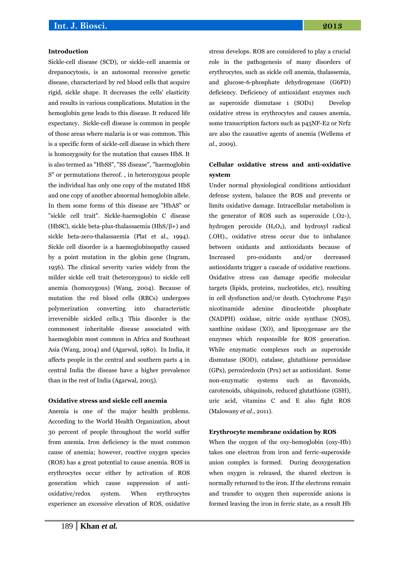#### **Introduction**

Sickle-cell disease (SCD), or sickle-cell anaemia or drepanocytosis, is an autosomal recessive genetic disease, characterized by red blood cells that acquire rigid, sickle shape. It decreases the cells' elasticity and results in various complications. Mutation in the hemoglobin gene leads to this disease. It reduced life expectancy. Sickle-cell disease is common in people of those areas where malaria is or was common. This is a specific form of sickle-cell disease in which there is homozygosity for the mutation that causes HbS. It is also termed as "HbSS", "SS disease", "haemoglobin S" or permutations thereof. , in heterozygous people the individual has only one copy of the mutated HbS and one copy of another abnormal hemoglobin allele. In them some forms of this disease are "HbAS" or "sickle cell trait". Sickle-haemoglobin C disease (HbSC), sickle beta-plus-thalassaemia (HbS/ $\beta$ +) and sickle beta-zero-thalassaemia (Plat et al., 1994). Sickle cell disorder is a haemoglobinopathy caused by a point mutation in the globin gene (Ingram, 1956). The clinical severity varies widely from the milder sickle cell trait (heterozygous) to sickle cell anemia (homozygous) (Wang, 2004). Because of mutation the red blood cells (RBCs) undergoes polymerization converting into characteristic irreversible sickled cells.3 This disorder is the commonest inheritable disease associated with haemoglobin most common in Africa and Southeast Asia (Wang, 2004) and (Agarwal, 1980). In India, it affects people in the central and southern parts 4 in central India the disease have a higher prevalence than in the rest of India (Agarwal, 2005).

#### **Oxidative stress and sickle cell anemia**

Anemia is one of the major health problems. According to the World Health Organization, about 30 percent of people throughout the world suffer from anemia. Iron deficiency is the most common cause of anemia; however, reactive oxygen species (ROS) has a great potential to cause anemia. ROS in erythrocytes occur either by activation of ROS generation which cause suppression of antioxidative/redox system. When erythrocytes experience an excessive elevation of ROS, oxidative

stress develops. ROS are considered to play a crucial role in the pathogenesis of many disorders of erythrocytes, such as sickle cell anemia, thalassemia, and glucose-6-phosphate dehydrogenase (G6PD) deficiency. Deficiency of antioxidant enzymes such as superoxide dismutase 1 (SOD1) Develop oxidative stress in erythrocytes and causes anemia, some transcription factors such as p45NF-E2 or Nrf2 are also the causative agents of anemia (Wellems *et al.,* 2009).

### **Cellular oxidative stress and anti-oxidative system**

Under normal physiological conditions antioxidant defense system, balance the ROS and prevents or limits oxidative damage. Intracellular metabolism is the generator of ROS such as superoxide (.O2-), hydrogen peroxide  $(H_2O_2)$ , and hydroxyl radical (.OH)., oxidative stress occur due to imbalance between oxidants and antioxidants because of Increased pro-oxidants and/or decreased antioxidants trigger a cascade of oxidative reactions. Oxidative stress can damage specific molecular targets (lipids, proteins, nucleotides, etc), resulting in cell dysfunction and/or death. Cytochrome P450 nicotinamide adenine dinucleotide phosphate (NADPH) oxidase, nitric oxide synthase (NOS), xanthine oxidase (XO), and lipoxygenase are the enzymes which responsible for ROS generation. While enzymatic complexes such as superoxide dismutase (SOD), catalase, glutathione peroxidase (GPx), peroxiredoxin (Prx) act as antioxidant. Some non-enzymatic systems such as flavonoids, carotenoids, ubiquinols, reduced glutathione (GSH), uric acid, vitamins C and E also fight ROS (Malowany *et al.,* 2011).

#### **Erythrocyte membrane oxidation by ROS**

When the oxygen of the oxy-hemoglobin (oxy-Hb) takes one electron from iron and ferric-superoxide anion complex is formed. During deoxygenation when oxygen is released, the shared electron is normally returned to the iron. If the electrons remain and transfer to oxygen then superoxide anions is formed leaving the iron in ferric state, as a result Hb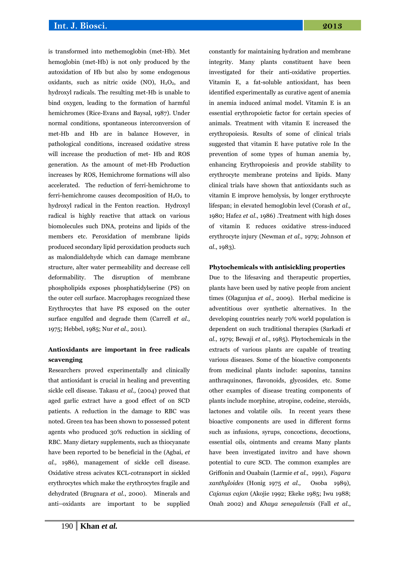is transformed into methemoglobin (met-Hb). Met hemoglobin (met-Hb) is not only produced by the autoxidation of Hb but also by some endogenous oxidants, such as nitric oxide (NO),  $H_2O_2$ , and hydroxyl radicals. The resulting met-Hb is unable to bind oxygen, leading to the formation of harmful hemichromes (Rice-Evans and Baysal, 1987). Under normal conditions, spontaneous interconversion of met-Hb and Hb are in balance However, in pathological conditions, increased oxidative stress will increase the production of met- Hb and ROS generation. As the amount of met-Hb Production increases by ROS, Hemichrome formations will also accelerated. The reduction of ferri-hemichrome to ferri-hemichrome causes decomposition of  $H_2O_2$  to hydroxyl radical in the Fenton reaction. Hydroxyl radical is highly reactive that attack on various biomolecules such DNA, proteins and lipids of the members etc. Peroxidation of membrane lipids produced secondary lipid peroxidation products such as malondialdehyde which can damage membrane structure, alter water permeability and decrease cell deformability. The disruption of membrane phospholipids exposes phosphatidylserine (PS) on the outer cell surface. Macrophages recognized these Erythrocytes that have PS exposed on the outer surface engulfed and degrade them (Carrell *et al.,* 1975; Hebbel, 1985; Nur *et al.,* 2011).

# **Antioxidants are important in free radicals scavenging**

Researchers proved experimentally and clinically that antioxidant is crucial in healing and preventing sickle cell disease. Takasu *et al.,* (2004) proved that aged garlic extract have a good effect of on SCD patients. A reduction in the damage to RBC was noted. Green tea has been shown to possessed potent agents who produced 30% reduction in sickling of RBC. Many dietary supplements, such as thiocyanate have been reported to be beneficial in the (Agbai, *et al.,* 1986), management of sickle cell disease. Oxidative stress acivates KCL-cotransport in sickled erythrocytes which make the erythrocytes fragile and dehydrated (Brugnara *et al*., 2000). Minerals and anti–oxidants are important to be supplied

constantly for maintaining hydration and membrane integrity. Many plants constituent have been investigated for their anti-oxidative properties. Vitamin E, a fat-soluble antioxidant, has been identified experimentally as curative agent of anemia in anemia induced animal model. Vitamin E is an essential erythropoietic factor for certain species of animals. Treatment with vitamin E increased the erythropoiesis. Results of some of clinical trials suggested that vitamin E have putative role In the prevention of some types of human anemia by, enhancing Erythropoiesis and provide stability to erythrocyte membrane proteins and lipids. Many clinical trials have shown that antioxidants such as vitamin E improve hemolysis, by longer erythrocyte lifespan; in elevated hemoglobin level (Corash *et al.,* 1980; Hafez *et al*., 1986) .Treatment with high doses of vitamin E reduces oxidative stress-induced erythrocyte injury (Newman *et al.,* 1979; Johnson *et al*., 1983).

### **Phytochemicals with antisickling properties**

Due to the lifesaving and therapeutic properties, plants have been used by native people from ancient times (Olagunjua *et al.,* 2009). Herbal medicine is adventitious over synthetic alternatives. In the developing countries nearly 70% world population is dependent on such traditional therapies (Sarkadi *et al.,* 1979; Bewaji *et al*., 1985). Phytochemicals in the extracts of various plants are capable of treating various diseases. Some of the bioactive components from medicinal plants include: saponins, tannins anthraquinones, flavonoids, glycosides, etc. Some other examples of disease treating components of plants include morphine, atropine, codeine, steroids, lactones and volatile oils. In recent years these bioactive components are used in different forms such as infusions, syrups, concoctions, decoctions, essential oils, ointments and creams Many plants have been investigated invitro and have shown potential to cure SCD. The common examples are Griffonin and Ouabain (Larmie *et al.,* 1991), *Fagara xanthyloides* (Honig 1975 *et al.,* Osoba 1989), *Cajanus cajan* (Akojie 1992; Ekeke 1985; Iwu 1988; Onah 2002) and *Khaya senegalensis* (Fall *et al*.,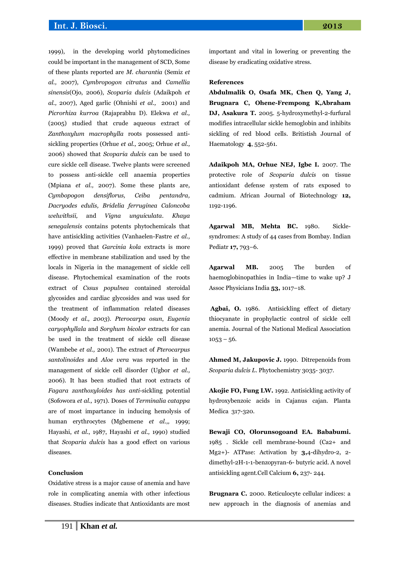# **Int. J. Biosci. 2013**

1999), in the developing world phytomedicines could be important in the management of SCD, Some of these plants reported are *M. charantia* (Semiz *et al.,* 2007), *Cymbropogon citratus* and *Camellia sinensis*(Ojo, 2006), *Scoparia dulcis* (Adaikpoh *et al.,* 2007), Aged garlic (Ohnishi *et al.,* 2001) and *Picrorhiza kurroa* (Rajaprabhu D). Elekwa *et al.,* (2005) studied that crude aqueous extract of *Zanthoxylum macrophylla* roots possessed antisickling properties (Orhue *et al.,* 2005; Orhue *et al.,* 2006) showed that *Scoparia dulcis* can be used to cure sickle cell disease. Twelve plants were screened to possess anti-sickle cell anaemia properties (Mpiana *et al.,* 2007). Some these plants are*, Cymbopogon densiflorus, Ceiba pentandra, Dacryodes edulis, Bridelia ferruginea Caloncoba welwithsii,* and *Vigna unguiculata*. *Khaya senegalensis* contains potents phytochemicals that have antisickling activities (Vanhaelen-Fastre *et al.,* 1999) proved that *Garcinia kola* extracts is more effective in membrane stabilization and used by the locals in Nigeria in the management of sickle cell disease. Phytochemical examination of the roots extract of *Cssus populnea* contained steroidal glycosides and cardiac glycosides and was used for the treatment of inflammation related diseases (Moody *et al., 2003*). *Pterocarpa osun*, *Eugenia caryophyllala* and *Sorghum bicolor* extracts for can be used in the treatment of sickle cell disease (Wambebe *et al.,* 2001). The extract of *Pterocarpus santolinoides* and *Aloe vera* was reported in the management of sickle cell disorder (Ugbor *et al.,* 2006). It has been studied that root extracts of *Fagara zanthoxyloides has anti*-sickling potential (Sofowora *et al.,* 1971). Doses of *Terminalia catappa*  are of most impartance in inducing hemolysis of human erythrocytes (Mgbemene *et al.,,* 1999; Hayashi, *et al.*, 1987, Hayashi *et al.,* 1990) studied that *Scoparia dulcis* has a good effect on various diseases.

### **Conclusion**

Oxidative stress is a major cause of anemia and have role in complicating anemia with other infectious diseases. Studies indicate that Antioxidants are most important and vital in lowering or preventing the disease by eradicating oxidative stress.

#### **References**

**Abdulmalik O, Osafa MK, Chen Q, Yang J, Brugnara C, Ohene-Frempong K,Abraham DJ, Asakura T.** 2005. 5-hydroxymethyl-2-furfural modifies intracellular sickle hemoglobin and inhibits sickling of red blood cells. Britistish Journal of Haematology **4**, 552-561.

**Adaikpoh MA, Orhue NEJ, Igbe I.** 2007. The protective role of *Scoparia dulcis* on tissue antioxidant defense system of rats exposed to cadmium. African Journal of Biotechnology **12,** 1192-1196.

**Agarwal MB, Mehta BC.** 1980. Sicklesyndromes: A study of 44 cases from Bombay. Indian Pediatr **17,** 793–6.

**Agarwal MB.** 2005 The burden of haemoglobinopathies in India—time to wake up? J Assoc Physicians India **53,** 1017–18.

**Agbai, O.** 1986. Antisickling effect of dietary thiocyanate in prophylactic control of sickle cell anemia. Journal of the National Medical Association  $1053 - 56.$ 

**Ahmed M, Jakupovic J.** 1990. Ditrepenoids from *Scoparia dulcis L*. Phytochemistry 3035- 3037.

**Akojie FO, Fung LW.** 1992. Antisickling activity of hydroxybenzoic acids in Cajanus cajan. Planta Medica 317-320.

**Bewaji CO, Olorunsogoand EA. Bababumi.** 1985 . Sickle cell membrane-bound (Ca2+ and Mg2+)- ATPase: Activation by **3,**4-dihydro-2, 2 dimethyl-2H-1-1-benzopyran-6- butyric acid. A novel antisickling agent.Cell Calcium **6,** 237- 244.

**Brugnara C.** 2000. Reticulocyte cellular indices: a new approach in the diagnosis of anemias and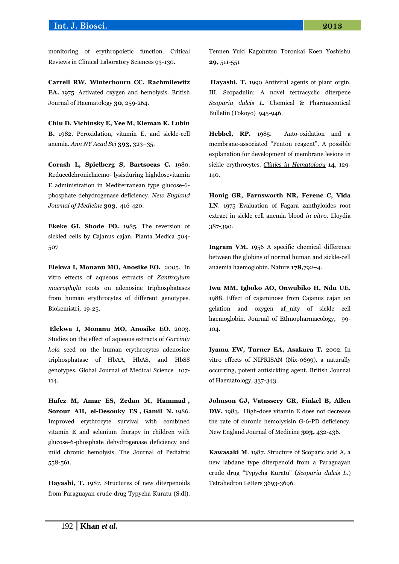### **Int. J. Biosci. 2013**

monitoring of erythropoietic function. Critical Reviews in Clinical Laboratory Sciences 93-130.

**Carrell RW, Winterbourn CC, Rachmilewitz EA.** 1975. Activated oxygen and hemolysis. British Journal of Haematology **30**, 259-264.

**Chiu D, Vichinsky E, Yee M, Kleman K, Lubin B.** 1982. Peroxidation, vitamin E, and sickle-cell anemia. *Ann NY Acad Sci* **393,** 323–35.

**Corash L, Spielberg S, Bartsocas C.** 1980. Reducedchronichaemo- lysisduring highdosevitamin E administration in Mediterranean type glucose-6 phosphate dehydrogenase deficiency. *New England Journal of Medicine* **303**, 416-420.

**Ekeke GI, Shode FO.** 1985. The reversion of sickled cells by Cajanus cajan. Planta Medica 504- 507

**Elekwa I, Monanu MO, Anosike EO.** 2005. In vitro effects of aqueous extracts of *Zanthxylum macrophyla* roots on adenosine triphosphatases from human erythrocytes of different genotypes. Biokemistri, 19-25.

**Elekwa I, Monanu MO, Anosike EO.** 2003. Studies on the effect of aqueous extracts of *Garcinia kola* seed on the human erythrocytes adenosine triphosphatase of HbAA, HbAS, and HbSS genotypes. Global Journal of Medical Science 107- 114.

**Hafez M, Amar ES, Zedan M, Hammad , Sorour AH, el-Desouky ES , Gamil N.** 1986. Improved erythrocyte survival with combined vitamin E and selenium therapy in children with glucose-6-phosphate dehydrogenase deficiency and mild chronic hemolysis. The Journal of Pediatric 558-561.

**Hayashi, T.** 1987. Structures of new diterpenoids from Paraguayan crude drug Typycha Kuratu (S.dl). Tennen Yuki Kagobutsu Toronkai Koen Yoshishu **29,** 511-551

**Hayashi, T.** 1990 Antiviral agents of plant orgin. III. Scopadulin: A novel tertracyclic diterpene *Scoparia dulcis L.* Chemical & Pharmaceutical Bulletin (Tokoyo) 945-946.

**Hebbel, RP.** 1985. Auto-oxidation and a membrane-associated "Fenton reagent". A possible explanation for development of membrane lesions in sickle erythrocytes. *Clinics in Hematology* **14**, 129- 140.

**Honig GR, Farnsworth NR, Ferenc C, Vida LN**. 1975 Evaluation of Fagara zanthyloides root extract in sickle cell anemia blood *in vitro*. Lloydia 387-390.

**Ingram VM.** 1956 A specific chemical difference between the globins of normal human and sickle-cell anaemia haemoglobin. Nature **178,**792–4.

**Iwu MM, Igboko AO, Onwubiko H, Ndu UE.** 1988. Effect of cajaminose from Cajanus cajan on gelation and oxygen af\_nity of sickle cell haemoglobin. Journal of Ethnopharmacology, 99- 104.

**Iyamu EW, Turner EA, Asakura T.** 2002. In vitro effects of NIPRISAN (Nix-0699). a naturally occurring, potent antisickling agent. British Journal of Haematology, 337-343.

**Johnson GJ, Vatassery GR, Finkel B, Allen DW.** 1983. High-dose vitamin E does not decrease the rate of chronic hemolysisin G-6-PD deficiency. New England Journal of Medicine **303,** 432-436.

**Kawasaki M**. 1987. Structure of Scoparic acid A, a new labdane type diterpenoid from a Paraguayan crude drug "Typycha Kuratu" (*Scoparia dulcis L*.) Tetrahedron Letters 3693-3696.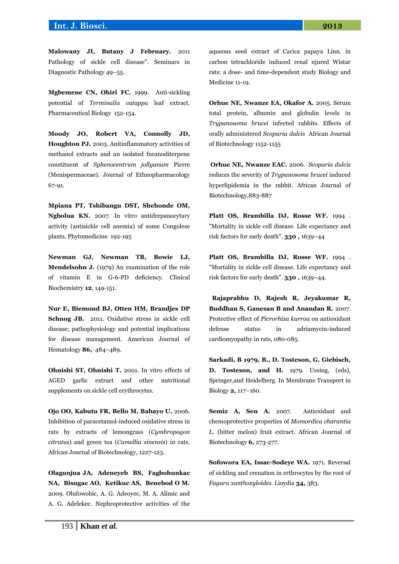## **Int. J. Biosci. 2013**

**Malowany JI, Butany J February.** 2011 Pathology of sickle cell disease". Seminars in Diagnostic Pathology 49–55.

**Mgbemene CN, Ohiri FC.** 1999. Anti-sickling potential of *Terminalia catappa* leaf extract. Pharmaceutical Biology 152-154.

**Moody JO, Robert VA, Connolly JD, Houghton PJ.** 2003. Anitinflammatory activities of methanol extracts and an isolated furanoditerpene constituent of *Sphenocentrum jollyanum* Pierre (Menispermaceae). Journal of Ethnopharmacology 67-91.

**Mpiana PT, Tshibangu DST, Shehonde OM, Ngbolua KN.** 2007. In vitro antidrepanocytary activity (antisickle cell anemia) of some Congolese plants. Phytomedicine 192-195

**Newman GJ, Newman TB, Bowie LJ, Mendelsohn J.** (1979) An examination of the role of vitamin E in G-6-PD deficiency. Clinical Biochemistry **12**, 149-151.

**Nur E, Biemond BJ, Otten HM, Brandjes DP Schnog JB.** 2011. Oxidative stress in sickle cell disease; pathophysiology and potential implications for disease management. American Journal of Hematology **86,** 484–489.

**Ohnishi ST, Ohnishi T.** 2001. In vitro effects of AGED garlic extract and other nutritional supplements on sickle cell erythrocytes.

**Ojo OO, Kabutu FR, Bello M, Babayo U.** 2006. Inhibition of paracetamol-induced oxidative stress in rats by extracts of lemongrass (*Cymbropogon citratus*) and green tea (*Camellia sinensis*) in rats. African Journal of Biotechnology, 1227-123.

**Olagunjua JA, Adeneyeb BS, Fagbohunkac NA, Bisugac AO, Ketikuc AS, Benebod O M.** 2009. Olufowobic, A. G. Adeoyec, M. A. Alimic and A. G. Adelekec. Nephroprotective activities of the

aqueous seed extract of Carica papaya Linn. in carbon tetrachloride induced renal njured Wistar rats: a dose- and time-dependent study Biology and Medicine 11-19.

**Orhue NE, Nwanze EA, Okafor A.** 2005. Serum total protein, albumin and globulin levels in *Trypanosoma brucei* infected rabbits. Effects of orally administered *Scoparia dulcis* African Journal of Biotechnology 1152-1155

**Orhue NE, Nwanze EAC.** 2006. *Scoparia dulcis*  reduces the severity of *Trypanosome brucei* induced hyperlipidemia in the rabbit. African Journal of Biotechnology,883-887

**Platt OS, Brambilla DJ, Rosse WF.** 1994 . ["Mortality in sickle cell disease. Life expectancy and](http://content.nejm.org/cgi/content/full/330/23/1639)  [risk factors for early death".](http://content.nejm.org/cgi/content/full/330/23/1639) **330 ,** 1639–44

**Platt OS, Brambilla DJ, Rosse WF.** 1994 . ["Mortality in sickle cell disease. Life expectancy and](http://content.nejm.org/cgi/content/full/330/23/1639)  [risk factors for early death".](http://content.nejm.org/cgi/content/full/330/23/1639) **330 ,** 1639–44.

 **Rajaprabhu D, Rajesh R, Jeyakumar R, Buddhan S, Ganesan B and Anandan R.** 2007. Protective effect of *Picrorhiza kurroa* on antioxidant defense status in adriamycin-induced cardiomyopathy in rats, 080-085.

**Sarkadi, B 1979, B., D. Tosteson, G. Giebisch, D. Tosteson, and H.** 1979. Ussing, (eds), Springer,and Heidelberg. In Membrane Transport in Biology **2,** 117−160.

**Semiz A, Sen A.** 2007. Antioxidant and chemoprotective properties of *Momordica charantia L*. (bitter melon) fruit extract. African Journal of Biotechnology **6,** 273-277.

**Sofowora EA, Issac-Sodeye WA.** 1971. Reversal of sickling and crenation in erthrocytes by the root of *Fagara xanthoxyloides*. Lioydia **34,** 383.